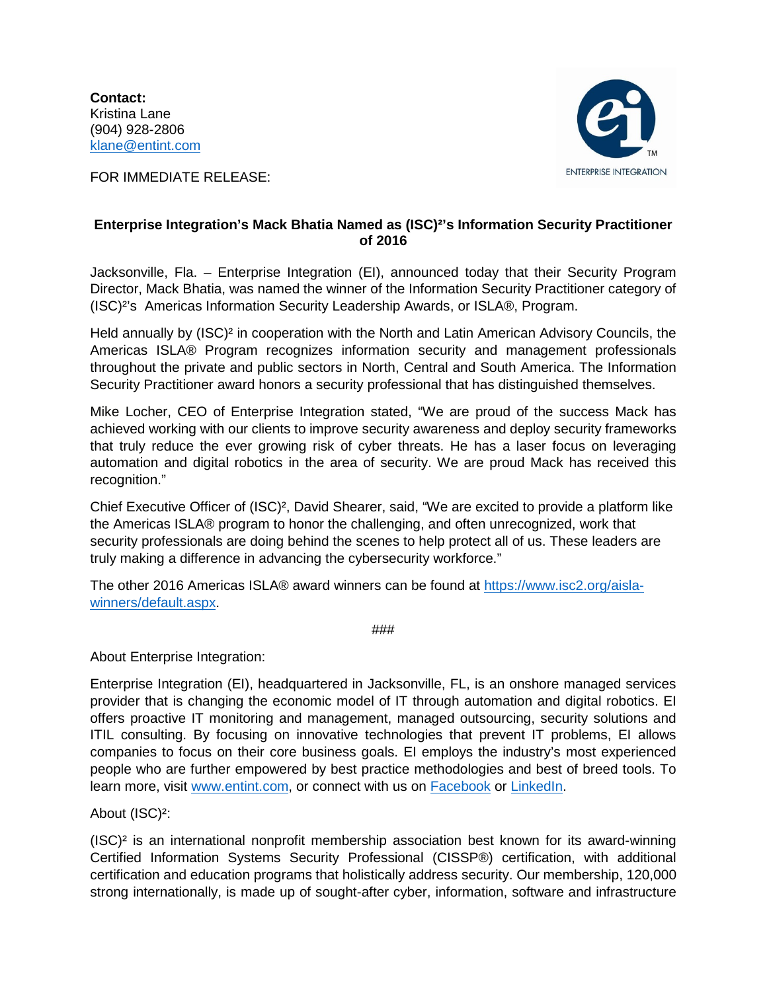**Contact:** Kristina Lane (904) 928-2806 [klane@entint.com](mailto:klane@entint.com)

FOR IMMEDIATE RELEASE:



## **Enterprise Integration's Mack Bhatia Named as (ISC)²'s Information Security Practitioner of 2016**

Jacksonville, Fla. – Enterprise Integration (EI), announced today that their Security Program Director, Mack Bhatia, was named the winner of the Information Security Practitioner category of (ISC)²'s Americas Information Security Leadership Awards, or ISLA®, Program.

Held annually by (ISC)² in cooperation with the North and Latin American Advisory Councils, the Americas ISLA® Program recognizes information security and management professionals throughout the private and public sectors in North, Central and South America. The Information Security Practitioner award honors a security professional that has distinguished themselves.

Mike Locher, CEO of Enterprise Integration stated, "We are proud of the success Mack has achieved working with our clients to improve security awareness and deploy security frameworks that truly reduce the ever growing risk of cyber threats. He has a laser focus on leveraging automation and digital robotics in the area of security. We are proud Mack has received this recognition."

Chief Executive Officer of (ISC)², David Shearer, said, "We are excited to provide a platform like the Americas ISLA® program to honor the challenging, and often unrecognized, work that security professionals are doing behind the scenes to help protect all of us. These leaders are truly making a difference in advancing the cybersecurity workforce."

The other 2016 Americas ISLA® award winners can be found at [https://www.isc2.org/aisla](https://www.isc2.org/aisla-winners/default.aspx)[winners/default.aspx.](https://www.isc2.org/aisla-winners/default.aspx)

###

About Enterprise Integration:

Enterprise Integration (EI), headquartered in Jacksonville, FL, is an onshore managed services provider that is changing the economic model of IT through automation and digital robotics. EI offers proactive IT monitoring and management, managed outsourcing, security solutions and ITIL consulting. By focusing on innovative technologies that prevent IT problems, EI allows companies to focus on their core business goals. EI employs the industry's most experienced people who are further empowered by best practice methodologies and best of breed tools. To learn more, visit [www.entint.com,](http://www.entint.com/) or connect with us on [Facebook](https://www.facebook.com/enterpriseintegration/) or [LinkedIn.](https://www.linkedin.com/company/enterprise-integration)

## About (ISC)²:

(ISC)² is an international nonprofit membership association best known for its award-winning Certified Information Systems Security Professional (CISSP®) certification, with additional certification and education programs that holistically address security. Our membership, 120,000 strong internationally, is made up of sought-after cyber, information, software and infrastructure